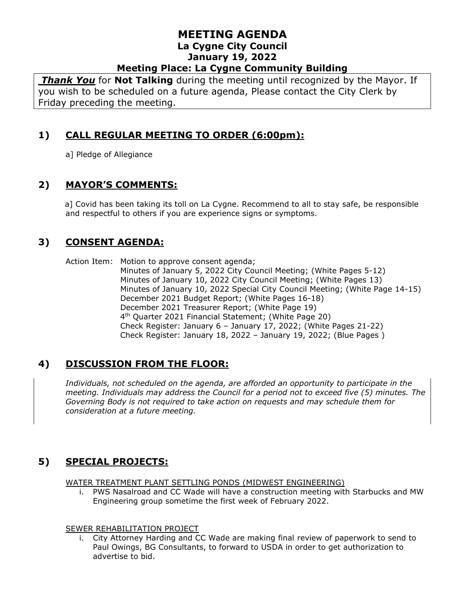*Thank You* for **Not Talking** during the meeting until recognized by the Mayor. If you wish to be scheduled on a future agenda, Please contact the City Clerk by Friday preceding the meeting.

# **1) CALL REGULAR MEETING TO ORDER (6:00pm):**

a] Pledge of Allegiance

# **2) MAYOR'S COMMENTS:**

 a] Covid has been taking its toll on La Cygne. Recommend to all to stay safe, be responsible and respectful to others if you are experience signs or symptoms.

### **3) CONSENT AGENDA:**

Action Item: Motion to approve consent agenda; Minutes of January 5, 2022 City Council Meeting; (White Pages 5-12) Minutes of January 10, 2022 City Council Meeting; (White Pages 13) Minutes of January 10, 2022 Special City Council Meeting; (White Page 14-15) December 2021 Budget Report; (White Pages 16-18) December 2021 Treasurer Report; (White Page 19) 4 th Quarter 2021 Financial Statement; (White Page 20) Check Register: January 6 – January 17, 2022; (White Pages 21-22) Check Register: January 18, 2022 – January 19, 2022; (Blue Pages )

# **4) DISCUSSION FROM THE FLOOR:**

*Individuals, not scheduled on the agenda, are afforded an opportunity to participate in the meeting. Individuals may address the Council for a period not to exceed five (5) minutes. The Governing Body is not required to take action on requests and may schedule them for consideration at a future meeting.*

# **5) SPECIAL PROJECTS:**

WATER TREATMENT PLANT SETTLING PONDS (MIDWEST ENGINEERING)

i. PWS Nasalroad and CC Wade will have a construction meeting with Starbucks and MW Engineering group sometime the first week of February 2022.

#### SEWER REHABILITATION PROJECT

i. City Attorney Harding and CC Wade are making final review of paperwork to send to Paul Owings, BG Consultants, to forward to USDA in order to get authorization to advertise to bid.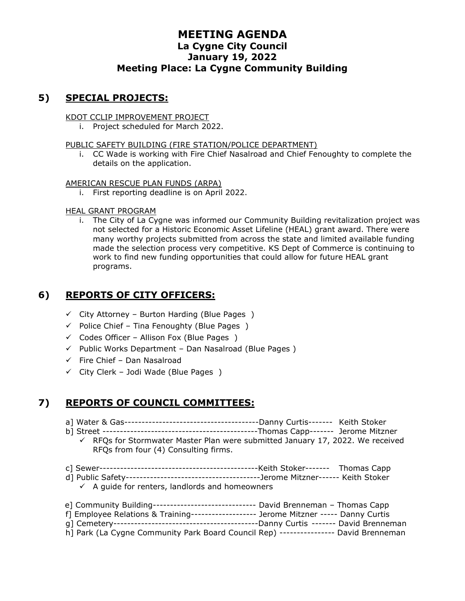## **5) SPECIAL PROJECTS:**

KDOT CCLIP IMPROVEMENT PROJECT

i. Project scheduled for March 2022.

PUBLIC SAFETY BUILDING (FIRE STATION/POLICE DEPARTMENT)

i. CC Wade is working with Fire Chief Nasalroad and Chief Fenoughty to complete the details on the application.

AMERICAN RESCUE PLAN FUNDS (ARPA)

i. First reporting deadline is on April 2022.

#### HEAL GRANT PROGRAM

i. The City of La Cygne was informed our Community Building revitalization project was not selected for a Historic Economic Asset Lifeline (HEAL) grant award. There were many worthy projects submitted from across the state and limited available funding made the selection process very competitive. KS Dept of Commerce is continuing to work to find new funding opportunities that could allow for future HEAL grant programs.

### **6) REPORTS OF CITY OFFICERS:**

- $\checkmark$  City Attorney Burton Harding (Blue Pages)
- $\checkmark$  Police Chief Tina Fenoughty (Blue Pages)
- $\checkmark$  Codes Officer Allison Fox (Blue Pages )
- ✓ Public Works Department Dan Nasalroad (Blue Pages )
- $\checkmark$  Fire Chief Dan Nasalroad
- $\checkmark$  City Clerk Jodi Wade (Blue Pages)

# **7) REPORTS OF COUNCIL COMMITTEES:**

- a] Water & Gas---------------------------------------Danny Curtis------- Keith Stoker
- b] Street ---------------------------------------------Thomas Capp------- Jerome Mitzner
	- $\checkmark$  RFQs for Stormwater Master Plan were submitted January 17, 2022. We received RFQs from four (4) Consulting firms.
- c] Sewer----------------------------------------------Keith Stoker------- Thomas Capp
- d] Public Safety---------------------------------------Jerome Mitzner------ Keith Stoker  $\checkmark$  A guide for renters, landlords and homeowners

| e] Community Building------------------------------- David Brenneman - Thomas Capp   |
|--------------------------------------------------------------------------------------|
| f] Employee Relations & Training------------------ Jerome Mitzner ----- Danny Curtis |
|                                                                                      |
| h] Park (La Cygne Community Park Board Council Rep) --------------- David Brenneman  |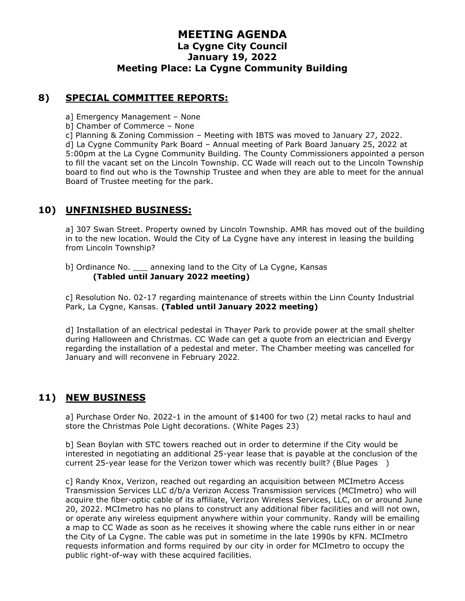### **8) SPECIAL COMMITTEE REPORTS:**

- a] Emergency Management None
- b] Chamber of Commerce None
- c] Planning & Zoning Commission Meeting with IBTS was moved to January 27, 2022.

d] La Cygne Community Park Board – Annual meeting of Park Board January 25, 2022 at 5:00pm at the La Cygne Community Building. The County Commissioners appointed a person to fill the vacant set on the Lincoln Township. CC Wade will reach out to the Lincoln Township board to find out who is the Township Trustee and when they are able to meet for the annual Board of Trustee meeting for the park.

### **10) UNFINISHED BUSINESS:**

a] 307 Swan Street. Property owned by Lincoln Township. AMR has moved out of the building in to the new location. Would the City of La Cygne have any interest in leasing the building from Lincoln Township?

b] Ordinance No. \_\_\_ annexing land to the City of La Cygne, Kansas **(Tabled until January 2022 meeting)**

c] Resolution No. 02-17 regarding maintenance of streets within the Linn County Industrial Park, La Cygne, Kansas. **(Tabled until January 2022 meeting)**

d] Installation of an electrical pedestal in Thayer Park to provide power at the small shelter during Halloween and Christmas. CC Wade can get a quote from an electrician and Evergy regarding the installation of a pedestal and meter. The Chamber meeting was cancelled for January and will reconvene in February 2022.

# **11) NEW BUSINESS**

a] Purchase Order No. 2022-1 in the amount of \$1400 for two (2) metal racks to haul and store the Christmas Pole Light decorations. (White Pages 23)

b] Sean Boylan with STC towers reached out in order to determine if the City would be interested in negotiating an additional 25-year lease that is payable at the conclusion of the current 25-year lease for the Verizon tower which was recently built? (Blue Pages )

c] Randy Knox, Verizon, reached out regarding an acquisition between MCImetro Access Transmission Services LLC d/b/a Verizon Access Transmission services (MCImetro) who will acquire the fiber-optic cable of its affiliate, Verizon Wireless Services, LLC, on or around June 20, 2022. MCImetro has no plans to construct any additional fiber facilities and will not own, or operate any wireless equipment anywhere within your community. Randy will be emailing a map to CC Wade as soon as he receives it showing where the cable runs either in or near the City of La Cygne. The cable was put in sometime in the late 1990s by KFN. MCImetro requests information and forms required by our city in order for MCImetro to occupy the public right-of-way with these acquired facilities.